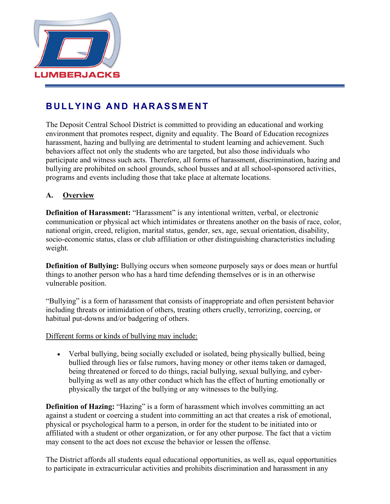

# **BULLYING AND HAR ASSMENT**

The Deposit Central School District is committed to providing an educational and working environment that promotes respect, dignity and equality. The Board of Education recognizes harassment, hazing and bullying are detrimental to student learning and achievement. Such behaviors affect not only the students who are targeted, but also those individuals who participate and witness such acts. Therefore, all forms of harassment, discrimination, hazing and bullying are prohibited on school grounds, school busses and at all school-sponsored activities, programs and events including those that take place at alternate locations.

### **A. Overview**

**Definition of Harassment:** "Harassment" is any intentional written, verbal, or electronic communication or physical act which intimidates or threatens another on the basis of race, color, national origin, creed, religion, marital status, gender, sex, age, sexual orientation, disability, socio-economic status, class or club affiliation or other distinguishing characteristics including weight.

**Definition of Bullying:** Bullying occurs when someone purposely says or does mean or hurtful things to another person who has a hard time defending themselves or is in an otherwise vulnerable position.

"Bullying" is a form of harassment that consists of inappropriate and often persistent behavior including threats or intimidation of others, treating others cruelly, terrorizing, coercing, or habitual put-downs and/or badgering of others.

Different forms or kinds of bullying may include:

• Verbal bullying, being socially excluded or isolated, being physically bullied, being bullied through lies or false rumors, having money or other items taken or damaged, being threatened or forced to do things, racial bullying, sexual bullying, and cyberbullying as well as any other conduct which has the effect of hurting emotionally or physically the target of the bullying or any witnesses to the bullying.

**Definition of Hazing:** "Hazing" is a form of harassment which involves committing an act against a student or coercing a student into committing an act that creates a risk of emotional, physical or psychological harm to a person, in order for the student to be initiated into or affiliated with a student or other organization, or for any other purpose. The fact that a victim may consent to the act does not excuse the behavior or lessen the offense.

The District affords all students equal educational opportunities, as well as, equal opportunities to participate in extracurricular activities and prohibits discrimination and harassment in any